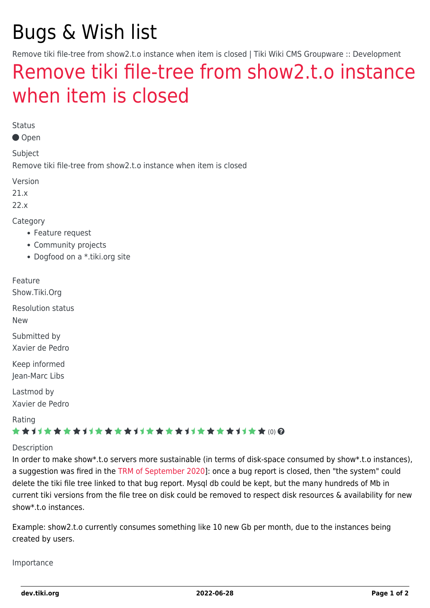# Bugs & Wish list

Remove tiki file-tree from show2.t.o instance when item is closed | Tiki Wiki CMS Groupware :: Development

## [Remove tiki file-tree from show2.t.o instance](https://dev.tiki.org/item7548-Remove-tiki-file-tree-from-show2-t-o-instance-when-item-is-closed) [when item is closed](https://dev.tiki.org/item7548-Remove-tiki-file-tree-from-show2-t-o-instance-when-item-is-closed)

Status

Open

Subject

Remove tiki file-tree from show2.t.o instance when item is closed

Version

21.x

22.x

Category

- Feature request
- Community projects
- Dogfood on a \*.tiki.org site

Feature

Show.Tiki.Org

Resolution status New

Submitted by Xavier de Pedro

Keep informed Jean-Marc Libs

Lastmod by Xavier de Pedro

Rating

#### ★★オオ★★★★オオ★★★★★★★★★★★★★★★★★★ @ @

#### Description

In order to make show\*.t.o servers more sustainable (in terms of disk-space consumed by show\*.t.o instances), a suggestion was fired in the [TRM of September 2020\]](https://tiki.org/Roundtable-Meeting-2020-09): once a bug report is closed, then "the system" could delete the tiki file tree linked to that bug report. Mysql db could be kept, but the many hundreds of Mb in current tiki versions from the file tree on disk could be removed to respect disk resources & availability for new show\*.t.o instances.

Example: show2.t.o currently consumes something like 10 new Gb per month, due to the instances being created by users.

Importance